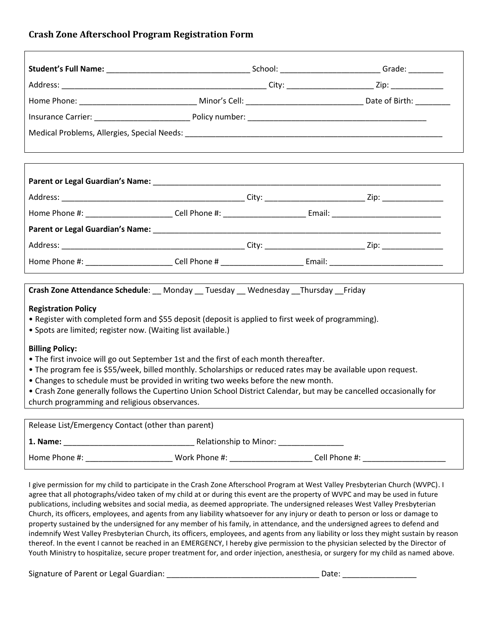# **Crash Zone Afterschool Program Registration Form**

| Crash Zone Attendance Schedule: __ Monday __ Tuesday __ Wednesday __ Thursday __ Friday                                                                            |  |  |                                                                                                                |
|--------------------------------------------------------------------------------------------------------------------------------------------------------------------|--|--|----------------------------------------------------------------------------------------------------------------|
| <b>Registration Policy</b>                                                                                                                                         |  |  |                                                                                                                |
| • Register with completed form and \$55 deposit (deposit is applied to first week of programming).<br>• Spots are limited; register now. (Waiting list available.) |  |  |                                                                                                                |
|                                                                                                                                                                    |  |  |                                                                                                                |
| <b>Billing Policy:</b><br>. The first invoice will go out September 1st and the first of each month thereafter.                                                    |  |  |                                                                                                                |
| • The program fee is \$55/week, billed monthly. Scholarships or reduced rates may be available upon request.                                                       |  |  |                                                                                                                |
| • Changes to schedule must be provided in writing two weeks before the new month.                                                                                  |  |  |                                                                                                                |
| • Crash Zone generally follows the Cupertino Union School District Calendar, but may be cancelled occasionally for                                                 |  |  |                                                                                                                |
| church programming and religious observances.                                                                                                                      |  |  |                                                                                                                |
| Release List/Emergency Contact (other than parent)                                                                                                                 |  |  |                                                                                                                |
|                                                                                                                                                                    |  |  |                                                                                                                |
|                                                                                                                                                                    |  |  | Home Phone #: ___________________________Work Phone #: _______________________Cell Phone #: __________________ |

I give permission for my child to participate in the Crash Zone Afterschool Program at West Valley Presbyterian Church (WVPC). I agree that all photographs/video taken of my child at or during this event are the property of WVPC and may be used in future publications, including websites and social media, as deemed appropriate. The undersigned releases West Valley Presbyterian Church, its officers, employees, and agents from any liability whatsoever for any injury or death to person or loss or damage to property sustained by the undersigned for any member of his family, in attendance, and the undersigned agrees to defend and indemnify West Valley Presbyterian Church, its officers, employees, and agents from any liability or loss they might sustain by reason thereof. In the event I cannot be reached in an EMERGENCY, I hereby give permission to the physician selected by the Director of Youth Ministry to hospitalize, secure proper treatment for, and order injection, anesthesia, or surgery for my child as named above.

Signature of Parent or Legal Guardian: \_\_\_\_\_\_\_\_\_\_\_\_\_\_\_\_\_\_\_\_\_\_\_\_\_\_\_\_\_\_\_\_\_\_\_ Date: \_\_\_\_\_\_\_\_\_\_\_\_\_\_\_\_\_